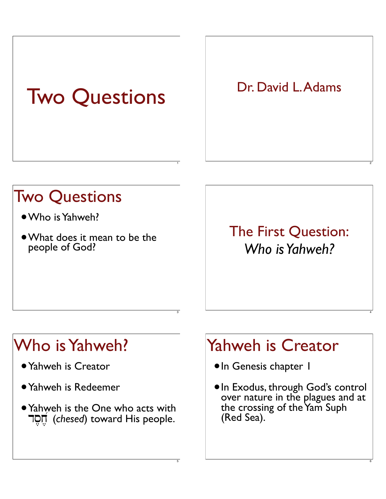# Two Questions

1

3

5

Dr. David L. Adams

### Two Questions

- •Who is Yahweh?
- •What does it mean to be the people of God?

The First Question: *Who is Yahweh?*

2

4

6

### Who is Yahweh?

- •Yahweh is Creator
- •Yahweh is Redeemer
- Yahweh is the One who acts with **TON** (*chesed*) toward His people.

### Yahweh is Creator

- •In Genesis chapter 1
- •In Exodus, through God's control over nature in the plagues and at the crossing of the Yam Suph (Red Sea).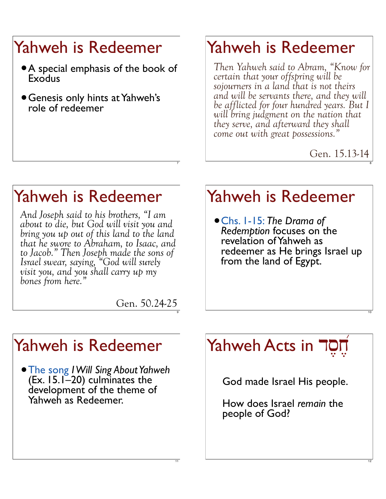## Yahweh is Redeemer

- •A special emphasis of the book of **Exodus**
- •Genesis only hints at Yahweh's role of redeemer

### Yahweh is Redeemer

*Then Yahweh said to Abram, "Know for certain that your offspring will be sojourners in a land that is not theirs and will be servants there, and they will be afflicted for four hundred years. But I will bring judgment on the nation that they serve, and afterward they shall come out with great possessions."*

Gen. 15.13-14

8

10

12

### Yahweh is Redeemer

*And Joseph said to his brothers, "I am about to die, but God will visit you and bring you up out of this land to the land that he swore to Abraham, to Isaac, and to Jacob." Then Joseph made the sons of Israel swear, saying, "God will surely visit you, and you shall carry up my bones from here."*

### Yahweh is Redeemer

•Chs. 1-15: *The Drama of Redemption* focuses on the revelation of Yahweh as redeemer as He brings Israel up from the land of Egypt.

Gen. 50.24-25

7

9

11

### Yahweh is Redeemer

•The song *I Will Sing About Yahweh* (Ex. 15.1–20) culminates the development of the theme of Yahweh as Redeemer.

#### Yahweh Acts in JOT ,

God made Israel His people.

How does Israel *remain* the people of God?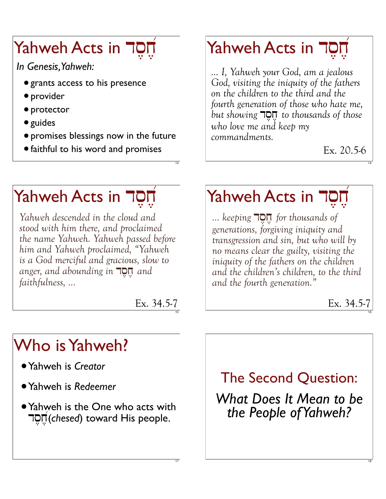#### Yahweh Acts in JOT ,

*In Genesis, Yahweh:*

- grants access to his presence
- provider
- protector
- guides
- promises blessings now in the future
- •faithful to his word and promises

#### Yahweh Acts in JOT ,

*... I, Yahweh your God, am a jealous God, visiting the iniquity of the fathers on the children to the third and the fourth generation of those who hate me, but showing* **TON** *to thousands of those who love me and keep my commandments.* 

Ex. 20.5-6

14

# Yahweh Acts in JOT

*Yahweh descended in the cloud and stood with him there, and proclaimed the name Yahweh. Yahweh passed before him and Yahweh proclaimed, "Yahweh is a God merciful and gracious, slow to anger, and abounding in* **DO**<sub>*d, and*</sub> *faithfulness, ...*

> Ex. 34.5-7 15

> > 17

,

13

#### Yahweh Acts in JOT ,

*...* keeping  $\P$ O $\P$  for thousands of *generations, forgiving iniquity and transgression and sin, but who will by no means clear the guilty, visiting the iniquity of the fathers on the children and the children's children, to the third and the fourth generation."*

Ex. 34.5-7

16

18

## Who is Yahweh?

- •Yahweh is *Creator*
- •Yahweh is *Redeemer*
- Yahweh is the One who acts with ds,j,@(*chesed*) toward His people.

The Second Question:

*What Does It Mean to be the People of Yahweh?*